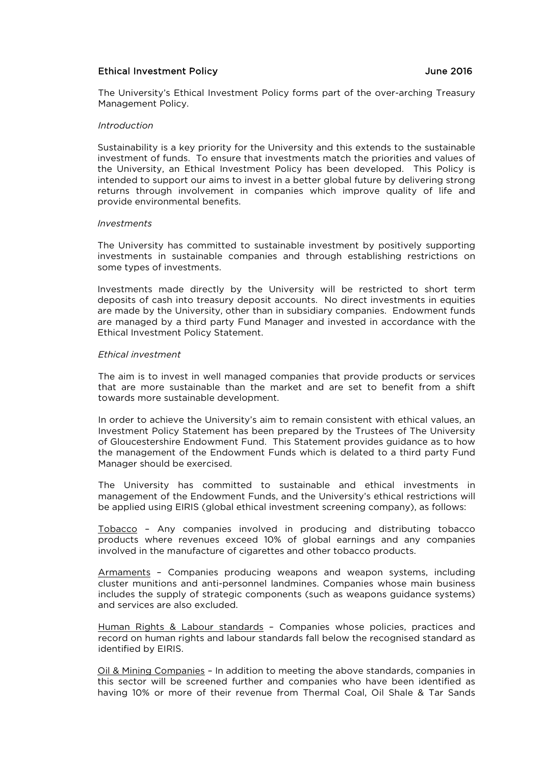# Ethical Investment Policy June 2016

The University's Ethical Investment Policy forms part of the over-arching Treasury Management Policy.

### *Introduction*

Sustainability is a key priority for the University and this extends to the sustainable investment of funds. To ensure that investments match the priorities and values of the University, an Ethical Investment Policy has been developed. This Policy is intended to support our aims to invest in a better global future by delivering strong returns through involvement in companies which improve quality of life and provide environmental benefits.

#### *Investments*

The University has committed to sustainable investment by positively supporting investments in sustainable companies and through establishing restrictions on some types of investments.

Investments made directly by the University will be restricted to short term deposits of cash into treasury deposit accounts. No direct investments in equities are made by the University, other than in subsidiary companies. Endowment funds are managed by a third party Fund Manager and invested in accordance with the Ethical Investment Policy Statement.

### *Ethical investment*

The aim is to invest in well managed companies that provide products or services that are more sustainable than the market and are set to benefit from a shift towards more sustainable development.

In order to achieve the University's aim to remain consistent with ethical values, an Investment Policy Statement has been prepared by the Trustees of The University of Gloucestershire Endowment Fund. This Statement provides guidance as to how the management of the Endowment Funds which is delated to a third party Fund Manager should be exercised.

The University has committed to sustainable and ethical investments in management of the Endowment Funds, and the University's ethical restrictions will be applied using EIRIS (global ethical investment screening company), as follows:

Tobacco – Any companies involved in producing and distributing tobacco products where revenues exceed 10% of global earnings and any companies involved in the manufacture of cigarettes and other tobacco products.

Armaments – Companies producing weapons and weapon systems, including cluster munitions and anti-personnel landmines. Companies whose main business includes the supply of strategic components (such as weapons guidance systems) and services are also excluded.

Human Rights & Labour standards – Companies whose policies, practices and record on human rights and labour standards fall below the recognised standard as identified by EIRIS.

Oil & Mining Companies – In addition to meeting the above standards, companies in this sector will be screened further and companies who have been identified as having 10% or more of their revenue from Thermal Coal, Oil Shale & Tar Sands